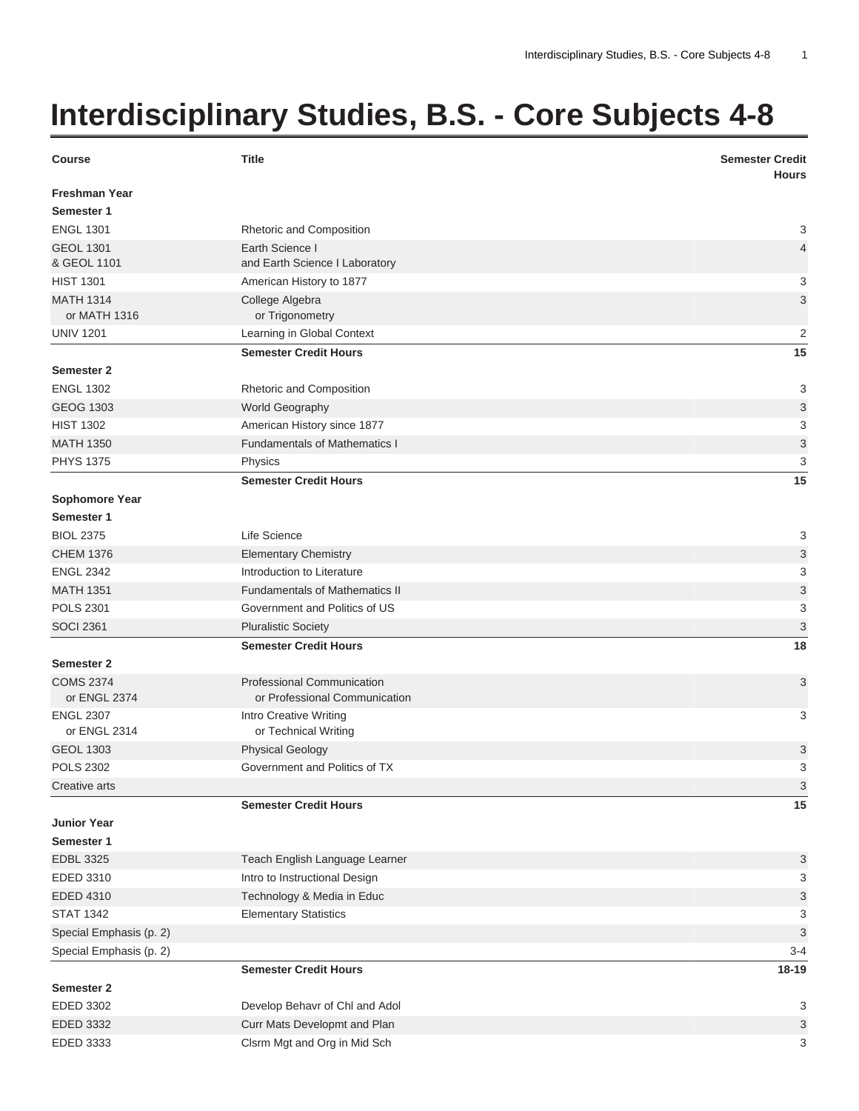## **Interdisciplinary Studies, B.S. - Core Subjects 4-8**

| <b>Course</b>                      | <b>Title</b>                                                | <b>Semester Credit</b><br><b>Hours</b> |
|------------------------------------|-------------------------------------------------------------|----------------------------------------|
| <b>Freshman Year</b><br>Semester 1 |                                                             |                                        |
| <b>ENGL 1301</b>                   | Rhetoric and Composition                                    | 3                                      |
| <b>GEOL 1301</b><br>& GEOL 1101    | Earth Science I<br>and Earth Science I Laboratory           | 4                                      |
| <b>HIST 1301</b>                   | American History to 1877                                    | 3                                      |
| <b>MATH 1314</b><br>or MATH 1316   | College Algebra<br>or Trigonometry                          | 3                                      |
| <b>UNIV 1201</b>                   | Learning in Global Context                                  | $\overline{2}$                         |
|                                    | <b>Semester Credit Hours</b>                                | 15                                     |
| <b>Semester 2</b>                  |                                                             |                                        |
| <b>ENGL 1302</b>                   | Rhetoric and Composition                                    | 3                                      |
| <b>GEOG 1303</b>                   | World Geography                                             | 3                                      |
| <b>HIST 1302</b>                   | American History since 1877                                 | 3                                      |
| <b>MATH 1350</b>                   | <b>Fundamentals of Mathematics I</b>                        | 3                                      |
| <b>PHYS 1375</b>                   | Physics                                                     | 3                                      |
|                                    | <b>Semester Credit Hours</b>                                | 15                                     |
| <b>Sophomore Year</b>              |                                                             |                                        |
| Semester 1                         |                                                             |                                        |
| <b>BIOL 2375</b>                   | Life Science                                                | 3                                      |
| <b>CHEM 1376</b>                   | <b>Elementary Chemistry</b>                                 | 3                                      |
| <b>ENGL 2342</b>                   | Introduction to Literature                                  | 3                                      |
| <b>MATH 1351</b>                   | <b>Fundamentals of Mathematics II</b>                       | 3                                      |
| <b>POLS 2301</b>                   | Government and Politics of US                               | 3                                      |
| <b>SOCI 2361</b>                   | <b>Pluralistic Society</b>                                  | 3                                      |
|                                    | <b>Semester Credit Hours</b>                                | 18                                     |
| <b>Semester 2</b>                  |                                                             |                                        |
| <b>COMS 2374</b><br>or ENGL 2374   | Professional Communication<br>or Professional Communication | 3                                      |
| <b>ENGL 2307</b><br>or ENGL 2314   | Intro Creative Writing<br>or Technical Writing              | 3                                      |
| <b>GEOL 1303</b>                   | <b>Physical Geology</b>                                     | 3                                      |
| <b>POLS 2302</b>                   | Government and Politics of TX                               | 3                                      |
| Creative arts                      |                                                             | 3                                      |
|                                    | <b>Semester Credit Hours</b>                                | 15                                     |
| <b>Junior Year</b>                 |                                                             |                                        |
| Semester 1                         |                                                             |                                        |
| <b>EDBL 3325</b>                   | Teach English Language Learner                              | 3                                      |
| EDED 3310                          | Intro to Instructional Design                               | 3                                      |
| <b>EDED 4310</b>                   | Technology & Media in Educ                                  | 3                                      |
| <b>STAT 1342</b>                   | <b>Elementary Statistics</b>                                | 3                                      |
| Special Emphasis (p. 2)            |                                                             | 3                                      |
| Special Emphasis (p. 2)            |                                                             | $3 - 4$                                |
|                                    | <b>Semester Credit Hours</b>                                | 18-19                                  |
| <b>Semester 2</b>                  |                                                             |                                        |
| EDED 3302                          | Develop Behavr of Chl and Adol                              | 3                                      |
| EDED 3332                          | Curr Mats Developmt and Plan                                | 3                                      |
| EDED 3333                          | Clsrm Mgt and Org in Mid Sch                                | 3                                      |